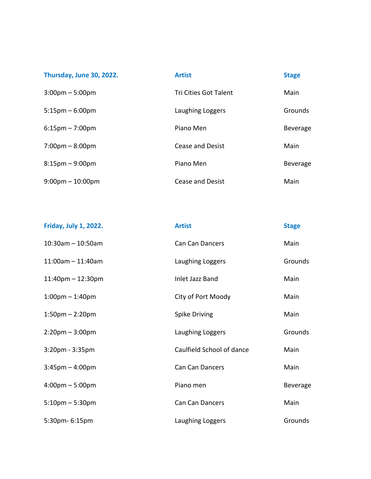| Thursday, June 30, 2022.           | <b>Artist</b>                | <b>Stage</b>    |
|------------------------------------|------------------------------|-----------------|
| $3:00 \text{pm} - 5:00 \text{pm}$  | <b>Tri Cities Got Talent</b> | Main            |
| $5:15 \text{pm} - 6:00 \text{pm}$  | Laughing Loggers             | Grounds         |
| $6:15 \text{pm} - 7:00 \text{pm}$  | Piano Men                    | <b>Beverage</b> |
| $7:00 \text{pm} - 8:00 \text{pm}$  | <b>Cease and Desist</b>      | Main            |
| $8:15 \text{pm} - 9:00 \text{pm}$  | Piano Men                    | <b>Beverage</b> |
| $9:00 \text{pm} - 10:00 \text{pm}$ | Cease and Desist             | Main            |

| <b>Friday, July 1, 2022.</b>      | <b>Artist</b>             | <b>Stage</b>    |
|-----------------------------------|---------------------------|-----------------|
| $10:30$ am - 10:50am              | Can Can Dancers           | Main            |
| $11:00$ am $-11:40$ am            | Laughing Loggers          | Grounds         |
| $11:40$ pm - $12:30$ pm           | Inlet Jazz Band           | Main            |
| $1:00 \text{pm} - 1:40 \text{pm}$ | City of Port Moody        | Main            |
| $1:50$ pm – 2:20pm                | Spike Driving             | Main            |
| $2:20 \text{pm} - 3:00 \text{pm}$ | Laughing Loggers          | Grounds         |
| $3:20$ pm - $3:35$ pm             | Caulfield School of dance | Main            |
| $3:45 \text{pm} - 4:00 \text{pm}$ | Can Can Dancers           | Main            |
| $4:00 \text{pm} - 5:00 \text{pm}$ | Piano men                 | <b>Beverage</b> |
| $5:10$ pm $-5:30$ pm              | <b>Can Can Dancers</b>    | Main            |
| 5:30pm- 6:15pm                    | Laughing Loggers          | Grounds         |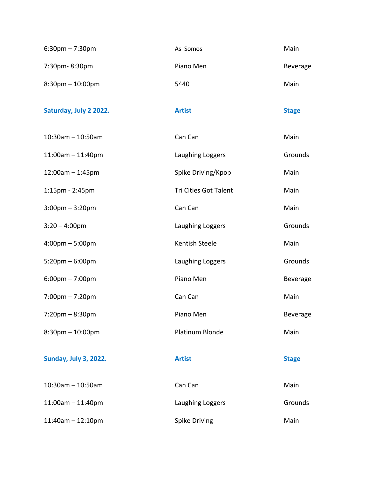| $6:30 \text{pm} - 7:30 \text{pm}$ | Asi Somos | Main     |
|-----------------------------------|-----------|----------|
| 7:30pm-8:30pm                     | Piano Men | Beverage |
| $8:30$ pm $-10:00$ pm             | 5440      | Main     |

**Saturday, July 2 2022. Artist Artist Artist Stage** 

| $10:30$ am - 10:50am              | Can Can               | Main            |
|-----------------------------------|-----------------------|-----------------|
| $11:00am - 11:40pm$               | Laughing Loggers      | Grounds         |
| $12:00am - 1:45pm$                | Spike Driving/Kpop    | Main            |
| $1:15$ pm - $2:45$ pm             | Tri Cities Got Talent | Main            |
| $3:00$ pm $-3:20$ pm              | Can Can               | Main            |
| $3:20 - 4:00$ pm                  | Laughing Loggers      | Grounds         |
| $4:00 \text{pm} - 5:00 \text{pm}$ | <b>Kentish Steele</b> | Main            |
| $5:20$ pm $-6:00$ pm              | Laughing Loggers      | Grounds         |
| $6:00 \text{pm} - 7:00 \text{pm}$ | Piano Men             | Beverage        |
| $7:00 \text{pm} - 7:20 \text{pm}$ | Can Can               | Main            |
| $7:20$ pm $-8:30$ pm              | Piano Men             | <b>Beverage</b> |
| $8:30$ pm $-10:00$ pm             | Platinum Blonde       | Main            |
| <b>Sunday, July 3, 2022.</b>      | <b>Artist</b>         | <b>Stage</b>    |
| $10:30$ am - 10:50am              | Can Can               | Main            |
| $11:00$ am $- 11:40$ pm           | Laughing Loggers      | Grounds         |
| $11:40$ am $- 12:10$ pm           | <b>Spike Driving</b>  | Main            |